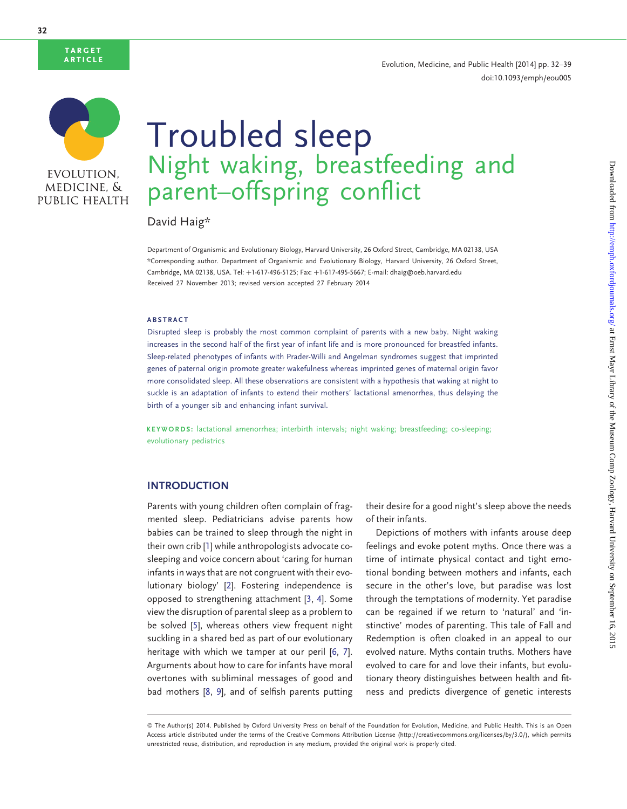Evolution, Medicine, and Public Health [2014] pp. 32–39 doi:10.1093/emph/eou005



**TARGET** article

# Troubled sleep Night waking, breastfeeding and parent–offspring conflict

# David Haig\*

Department of Organismic and Evolutionary Biology, Harvard University, 26 Oxford Street, Cambridge, MA 02138, USA \*Corresponding author. Department of Organismic and Evolutionary Biology, Harvard University, 26 Oxford Street, Cambridge, MA 02138, USA. Tel: +1-617-496-5125; Fax: +1-617-495-5667; E-mail: dhaig@oeb.harvard.edu Received 27 November 2013; revised version accepted 27 February 2014

#### ABSTRACT

Disrupted sleep is probably the most common complaint of parents with a new baby. Night waking increases in the second half of the first year of infant life and is more pronounced for breastfed infants. Sleep-related phenotypes of infants with Prader-Willi and Angelman syndromes suggest that imprinted genes of paternal origin promote greater wakefulness whereas imprinted genes of maternal origin favor more consolidated sleep. All these observations are consistent with a hypothesis that waking at night to suckle is an adaptation of infants to extend their mothers' lactational amenorrhea, thus delaying the birth of a younger sib and enhancing infant survival.

KEYWORDS: lactational amenorrhea; interbirth intervals; night waking; breastfeeding; co-sleeping; evolutionary pediatrics

## INTRODUCTION

Parents with young children often complain of fragmented sleep. Pediatricians advise parents how babies can be trained to sleep through the night in their own crib [[1\]](#page-5-0) while anthropologists advocate cosleeping and voice concern about 'caring for human infants in ways that are not congruent with their evolutionary biology' [\[2\]](#page-5-0). Fostering independence is opposed to strengthening attachment [[3](#page-5-0), [4](#page-5-0)]. Some view the disruption of parental sleep as a problem to be solved [[5](#page-5-0)], whereas others view frequent night suckling in a shared bed as part of our evolutionary heritage with which we tamper at our peril [\[6,](#page-5-0) [7\]](#page-5-0). Arguments about how to care for infants have moral overtones with subliminal messages of good and bad mothers [[8,](#page-5-0) [9](#page-5-0)], and of selfish parents putting their desire for a good night's sleep above the needs of their infants.

Depictions of mothers with infants arouse deep feelings and evoke potent myths. Once there was a time of intimate physical contact and tight emotional bonding between mothers and infants, each secure in the other's love, but paradise was lost through the temptations of modernity. Yet paradise can be regained if we return to 'natural' and 'instinctive' modes of parenting. This tale of Fall and Redemption is often cloaked in an appeal to our evolved nature. Myths contain truths. Mothers have evolved to care for and love their infants, but evolutionary theory distinguishes between health and fitness and predicts divergence of genetic interests

<sup>©</sup> The Author(s) 2014. Published by Oxford University Press on behalf of the Foundation for Evolution, Medicine, and Public Health. This is an Open Access article distributed under the terms of the Creative Commons Attribution License (http://creativecommons.org/licenses/by/3.0/), which permits unrestricted reuse, distribution, and reproduction in any medium, provided the original work is properly cited.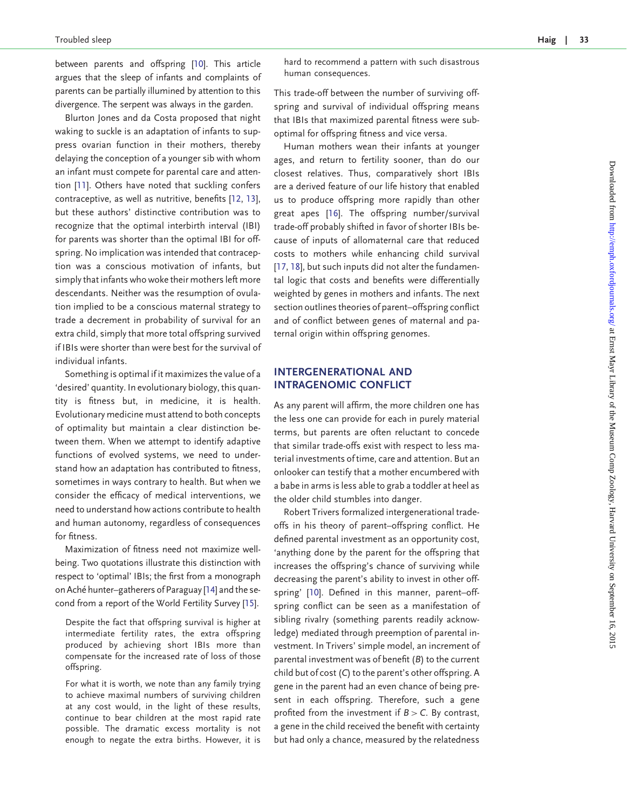between parents and offspring [\[10\]](#page-5-0). This article argues that the sleep of infants and complaints of parents can be partially illumined by attention to this divergence. The serpent was always in the garden.

Blurton Jones and da Costa proposed that night waking to suckle is an adaptation of infants to suppress ovarian function in their mothers, thereby delaying the conception of a younger sib with whom an infant must compete for parental care and attention [\[11\]](#page-5-0). Others have noted that suckling confers contraceptive, as well as nutritive, benefits [\[12,](#page-5-0) [13\]](#page-5-0), but these authors' distinctive contribution was to recognize that the optimal interbirth interval (IBI) for parents was shorter than the optimal IBI for offspring. No implication was intended that contraception was a conscious motivation of infants, but simply that infants who woke their mothers left more descendants. Neither was the resumption of ovulation implied to be a conscious maternal strategy to trade a decrement in probability of survival for an extra child, simply that more total offspring survived if IBIs were shorter than were best for the survival of individual infants.

Something is optimal if it maximizes the value of a 'desired' quantity. In evolutionary biology, this quantity is fitness but, in medicine, it is health. Evolutionary medicine must attend to both concepts of optimality but maintain a clear distinction between them. When we attempt to identify adaptive functions of evolved systems, we need to understand how an adaptation has contributed to fitness, sometimes in ways contrary to health. But when we consider the efficacy of medical interventions, we need to understand how actions contribute to health and human autonomy, regardless of consequences for fitness.

Maximization of fitness need not maximize wellbeing. Two quotations illustrate this distinction with respect to 'optimal' IBIs; the first from a monograph on Aché hunter–gatherers of Paraguay [\[14](#page-5-0)] and the second from a report of the World Fertility Survey [\[15](#page-5-0)].

Despite the fact that offspring survival is higher at intermediate fertility rates, the extra offspring produced by achieving short IBIs more than compensate for the increased rate of loss of those offspring.

For what it is worth, we note than any family trying to achieve maximal numbers of surviving children at any cost would, in the light of these results, continue to bear children at the most rapid rate possible. The dramatic excess mortality is not enough to negate the extra births. However, it is hard to recommend a pattern with such disastrous human consequences.

This trade-off between the number of surviving offspring and survival of individual offspring means that IBIs that maximized parental fitness were suboptimal for offspring fitness and vice versa.

Human mothers wean their infants at younger ages, and return to fertility sooner, than do our closest relatives. Thus, comparatively short IBIs are a derived feature of our life history that enabled us to produce offspring more rapidly than other great apes [[16](#page-5-0)]. The offspring number/survival trade-off probably shifted in favor of shorter IBIs because of inputs of allomaternal care that reduced costs to mothers while enhancing child survival [\[17,](#page-5-0) [18](#page-5-0)], but such inputs did not alter the fundamental logic that costs and benefits were differentially weighted by genes in mothers and infants. The next section outlines theories of parent–offspring conflict and of conflict between genes of maternal and paternal origin within offspring genomes.

## INTERGENERATIONAL AND INTRAGENOMIC CONFLICT

As any parent will affirm, the more children one has the less one can provide for each in purely material terms, but parents are often reluctant to concede that similar trade-offs exist with respect to less material investments of time, care and attention. But an onlooker can testify that a mother encumbered with a babe in arms is less able to grab a toddler at heel as the older child stumbles into danger.

Robert Trivers formalized intergenerational tradeoffs in his theory of parent–offspring conflict. He defined parental investment as an opportunity cost, 'anything done by the parent for the offspring that increases the offspring's chance of surviving while decreasing the parent's ability to invest in other offspring' [\[10\]](#page-5-0). Defined in this manner, parent–offspring conflict can be seen as a manifestation of sibling rivalry (something parents readily acknowledge) mediated through preemption of parental investment. In Trivers' simple model, an increment of parental investment was of benefit (B) to the current child but of cost (C) to the parent's other offspring. A gene in the parent had an even chance of being present in each offspring. Therefore, such a gene profited from the investment if  $B > C$ . By contrast, a gene in the child received the benefit with certainty but had only a chance, measured by the relatedness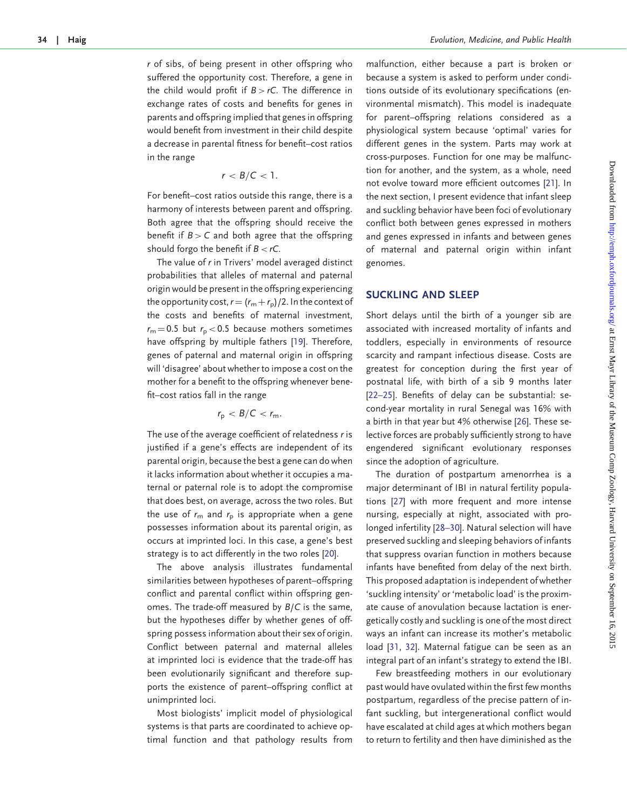r of sibs, of being present in other offspring who suffered the opportunity cost. Therefore, a gene in the child would profit if  $B > rC$ . The difference in exchange rates of costs and benefits for genes in parents and offspring implied that genes in offspring would benefit from investment in their child despite a decrease in parental fitness for benefit–cost ratios in the range

$$
r < B/C < 1.
$$

For benefit–cost ratios outside this range, there is a harmony of interests between parent and offspring. Both agree that the offspring should receive the benefit if  $B > C$  and both agree that the offspring should forgo the benefit if  $B < rC$ .

The value of r in Trivers' model averaged distinct probabilities that alleles of maternal and paternal origin would be present in the offspring experiencing the opportunity cost,  $r = (r_m + r_p)/2$ . In the context of the costs and benefits of maternal investment,  $r_m = 0.5$  but  $r_p < 0.5$  because mothers sometimes have offspring by multiple fathers [[19](#page-5-0)]. Therefore, genes of paternal and maternal origin in offspring will 'disagree' about whether to impose a cost on the mother for a benefit to the offspring whenever benefit–cost ratios fall in the range

$$
r_{\rm p} < B/C < r_{\rm m}.
$$

The use of the average coefficient of relatedness r is justified if a gene's effects are independent of its parental origin, because the best a gene can do when it lacks information about whether it occupies a maternal or paternal role is to adopt the compromise that does best, on average, across the two roles. But the use of  $r_m$  and  $r_p$  is appropriate when a gene possesses information about its parental origin, as occurs at imprinted loci. In this case, a gene's best strategy is to act differently in the two roles [\[20](#page-5-0)].

The above analysis illustrates fundamental similarities between hypotheses of parent–offspring conflict and parental conflict within offspring genomes. The trade-off measured by B/C is the same, but the hypotheses differ by whether genes of offspring possess information about their sex of origin. Conflict between paternal and maternal alleles at imprinted loci is evidence that the trade-off has been evolutionarily significant and therefore supports the existence of parent–offspring conflict at unimprinted loci.

Most biologists' implicit model of physiological systems is that parts are coordinated to achieve optimal function and that pathology results from

malfunction, either because a part is broken or because a system is asked to perform under conditions outside of its evolutionary specifications (environmental mismatch). This model is inadequate for parent–offspring relations considered as a physiological system because 'optimal' varies for different genes in the system. Parts may work at cross-purposes. Function for one may be malfunction for another, and the system, as a whole, need not evolve toward more efficient outcomes [\[21\]](#page-5-0). In the next section, I present evidence that infant sleep and suckling behavior have been foci of evolutionary conflict both between genes expressed in mothers and genes expressed in infants and between genes of maternal and paternal origin within infant genomes.

## SUCKLING AND SLEEP

Short delays until the birth of a younger sib are associated with increased mortality of infants and toddlers, especially in environments of resource scarcity and rampant infectious disease. Costs are greatest for conception during the first year of postnatal life, with birth of a sib 9 months later [[22–25\]](#page-6-0). Benefits of delay can be substantial: second-year mortality in rural Senegal was 16% with a birth in that year but 4% otherwise [[26](#page-6-0)]. These selective forces are probably sufficiently strong to have engendered significant evolutionary responses since the adoption of agriculture.

The duration of postpartum amenorrhea is a major determinant of IBI in natural fertility populations [\[27\]](#page-6-0) with more frequent and more intense nursing, especially at night, associated with prolonged infertility [\[28–30](#page-6-0)]. Natural selection will have preserved suckling and sleeping behaviors of infants that suppress ovarian function in mothers because infants have benefited from delay of the next birth. This proposed adaptation is independent of whether 'suckling intensity' or 'metabolic load' is the proximate cause of anovulation because lactation is energetically costly and suckling is one of the most direct ways an infant can increase its mother's metabolic load [[31](#page-6-0), [32\]](#page-6-0). Maternal fatigue can be seen as an integral part of an infant's strategy to extend the IBI.

Few breastfeeding mothers in our evolutionary past would have ovulated within the first few months postpartum, regardless of the precise pattern of infant suckling, but intergenerational conflict would have escalated at child ages at which mothers began to return to fertility and then have diminished as the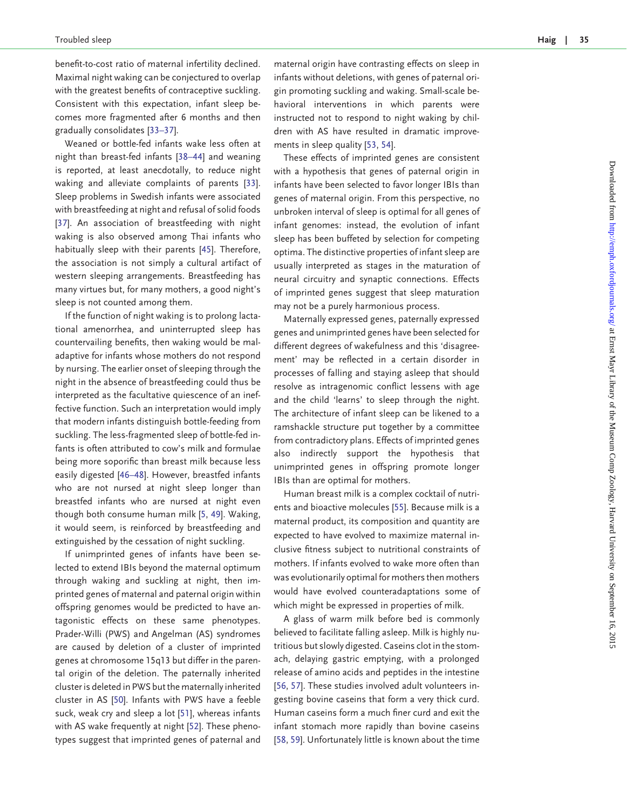benefit-to-cost ratio of maternal infertility declined. Maximal night waking can be conjectured to overlap with the greatest benefits of contraceptive suckling. Consistent with this expectation, infant sleep becomes more fragmented after 6 months and then gradually consolidates [\[33–37\]](#page-6-0).

Weaned or bottle-fed infants wake less often at night than breast-fed infants [\[38–44\]](#page-6-0) and weaning is reported, at least anecdotally, to reduce night waking and alleviate complaints of parents [\[33\]](#page-6-0). Sleep problems in Swedish infants were associated with breastfeeding at night and refusal of solid foods [\[37\]](#page-6-0). An association of breastfeeding with night waking is also observed among Thai infants who habitually sleep with their parents [[45](#page-6-0)]. Therefore, the association is not simply a cultural artifact of western sleeping arrangements. Breastfeeding has many virtues but, for many mothers, a good night's sleep is not counted among them.

If the function of night waking is to prolong lactational amenorrhea, and uninterrupted sleep has countervailing benefits, then waking would be maladaptive for infants whose mothers do not respond by nursing. The earlier onset of sleeping through the night in the absence of breastfeeding could thus be interpreted as the facultative quiescence of an ineffective function. Such an interpretation would imply that modern infants distinguish bottle-feeding from suckling. The less-fragmented sleep of bottle-fed infants is often attributed to cow's milk and formulae being more soporific than breast milk because less easily digested [\[46–48\]](#page-6-0). However, breastfed infants who are not nursed at night sleep longer than breastfed infants who are nursed at night even though both consume human milk [\[5](#page-5-0), [49\]](#page-6-0). Waking, it would seem, is reinforced by breastfeeding and extinguished by the cessation of night suckling.

If unimprinted genes of infants have been selected to extend IBIs beyond the maternal optimum through waking and suckling at night, then imprinted genes of maternal and paternal origin within offspring genomes would be predicted to have antagonistic effects on these same phenotypes. Prader-Willi (PWS) and Angelman (AS) syndromes are caused by deletion of a cluster of imprinted genes at chromosome 15q13 but differ in the parental origin of the deletion. The paternally inherited cluster is deleted in PWS but the maternally inherited cluster in AS [\[50\]](#page-6-0). Infants with PWS have a feeble suck, weak cry and sleep a lot [\[51](#page-6-0)], whereas infants with AS wake frequently at night [[52](#page-6-0)]. These phenotypes suggest that imprinted genes of paternal and maternal origin have contrasting effects on sleep in infants without deletions, with genes of paternal origin promoting suckling and waking. Small-scale behavioral interventions in which parents were instructed not to respond to night waking by children with AS have resulted in dramatic improvements in sleep quality [\[53,](#page-6-0) [54\]](#page-6-0).

These effects of imprinted genes are consistent with a hypothesis that genes of paternal origin in infants have been selected to favor longer IBIs than genes of maternal origin. From this perspective, no unbroken interval of sleep is optimal for all genes of infant genomes: instead, the evolution of infant sleep has been buffeted by selection for competing optima. The distinctive properties of infant sleep are usually interpreted as stages in the maturation of neural circuitry and synaptic connections. Effects of imprinted genes suggest that sleep maturation may not be a purely harmonious process.

Maternally expressed genes, paternally expressed genes and unimprinted genes have been selected for different degrees of wakefulness and this 'disagreement' may be reflected in a certain disorder in processes of falling and staying asleep that should resolve as intragenomic conflict lessens with age and the child 'learns' to sleep through the night. The architecture of infant sleep can be likened to a ramshackle structure put together by a committee from contradictory plans. Effects of imprinted genes also indirectly support the hypothesis that unimprinted genes in offspring promote longer IBIs than are optimal for mothers.

Human breast milk is a complex cocktail of nutrients and bioactive molecules [\[55\]](#page-6-0). Because milk is a maternal product, its composition and quantity are expected to have evolved to maximize maternal inclusive fitness subject to nutritional constraints of mothers. If infants evolved to wake more often than was evolutionarily optimal for mothers then mothers would have evolved counteradaptations some of which might be expressed in properties of milk.

A glass of warm milk before bed is commonly believed to facilitate falling asleep. Milk is highly nutritious but slowly digested. Caseins clot in the stomach, delaying gastric emptying, with a prolonged release of amino acids and peptides in the intestine [\[56,](#page-6-0) [57\]](#page-6-0). These studies involved adult volunteers ingesting bovine caseins that form a very thick curd. Human caseins form a much finer curd and exit the infant stomach more rapidly than bovine caseins [\[58,](#page-7-0) [59](#page-7-0)]. Unfortunately little is known about the time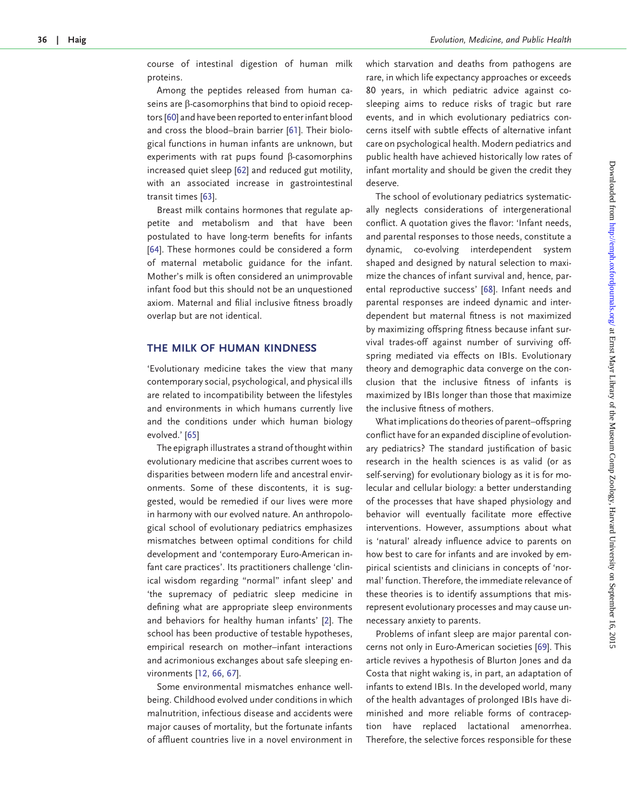course of intestinal digestion of human milk proteins.

Among the peptides released from human caseins are  $\beta$ -casomorphins that bind to opioid receptors [[60](#page-7-0)] and have been reported to enter infant blood and cross the blood–brain barrier [\[61\]](#page-7-0). Their biological functions in human infants are unknown, but experiments with rat pups found  $\beta$ -casomorphins increased quiet sleep [\[62\]](#page-7-0) and reduced gut motility, with an associated increase in gastrointestinal transit times [\[63](#page-7-0)].

Breast milk contains hormones that regulate appetite and metabolism and that have been postulated to have long-term benefits for infants [\[64\]](#page-7-0). These hormones could be considered a form of maternal metabolic guidance for the infant. Mother's milk is often considered an unimprovable infant food but this should not be an unquestioned axiom. Maternal and filial inclusive fitness broadly overlap but are not identical.

## THE MILK OF HUMAN KINDNESS

'Evolutionary medicine takes the view that many contemporary social, psychological, and physical ills are related to incompatibility between the lifestyles and environments in which humans currently live and the conditions under which human biology evolved.' [[65](#page-7-0)]

The epigraph illustrates a strand of thought within evolutionary medicine that ascribes current woes to disparities between modern life and ancestral environments. Some of these discontents, it is suggested, would be remedied if our lives were more in harmony with our evolved nature. An anthropological school of evolutionary pediatrics emphasizes mismatches between optimal conditions for child development and 'contemporary Euro-American infant care practices'. Its practitioners challenge 'clinical wisdom regarding "normal" infant sleep' and 'the supremacy of pediatric sleep medicine in defining what are appropriate sleep environments and behaviors for healthy human infants' [[2\]](#page-5-0). The school has been productive of testable hypotheses, empirical research on mother–infant interactions and acrimonious exchanges about safe sleeping environments [\[12,](#page-5-0) [66,](#page-7-0) [67\]](#page-7-0).

Some environmental mismatches enhance wellbeing. Childhood evolved under conditions in which malnutrition, infectious disease and accidents were major causes of mortality, but the fortunate infants of affluent countries live in a novel environment in

which starvation and deaths from pathogens are rare, in which life expectancy approaches or exceeds 80 years, in which pediatric advice against cosleeping aims to reduce risks of tragic but rare events, and in which evolutionary pediatrics concerns itself with subtle effects of alternative infant care on psychological health. Modern pediatrics and public health have achieved historically low rates of infant mortality and should be given the credit they deserve.

The school of evolutionary pediatrics systematically neglects considerations of intergenerational conflict. A quotation gives the flavor: 'Infant needs, and parental responses to those needs, constitute a dynamic, co-evolving interdependent system shaped and designed by natural selection to maximize the chances of infant survival and, hence, parental reproductive success' [\[68\]](#page-7-0). Infant needs and parental responses are indeed dynamic and interdependent but maternal fitness is not maximized by maximizing offspring fitness because infant survival trades-off against number of surviving offspring mediated via effects on IBIs. Evolutionary theory and demographic data converge on the conclusion that the inclusive fitness of infants is maximized by IBIs longer than those that maximize the inclusive fitness of mothers.

What implications do theories of parent–offspring conflict have for an expanded discipline of evolutionary pediatrics? The standard justification of basic research in the health sciences is as valid (or as self-serving) for evolutionary biology as it is for molecular and cellular biology: a better understanding of the processes that have shaped physiology and behavior will eventually facilitate more effective interventions. However, assumptions about what is 'natural' already influence advice to parents on how best to care for infants and are invoked by empirical scientists and clinicians in concepts of 'normal' function. Therefore, the immediate relevance of these theories is to identify assumptions that misrepresent evolutionary processes and may cause unnecessary anxiety to parents.

Problems of infant sleep are major parental concerns not only in Euro-American societies [\[69\]](#page-7-0). This article revives a hypothesis of Blurton Jones and da Costa that night waking is, in part, an adaptation of infants to extend IBIs. In the developed world, many of the health advantages of prolonged IBIs have diminished and more reliable forms of contraception have replaced lactational amenorrhea. Therefore, the selective forces responsible for these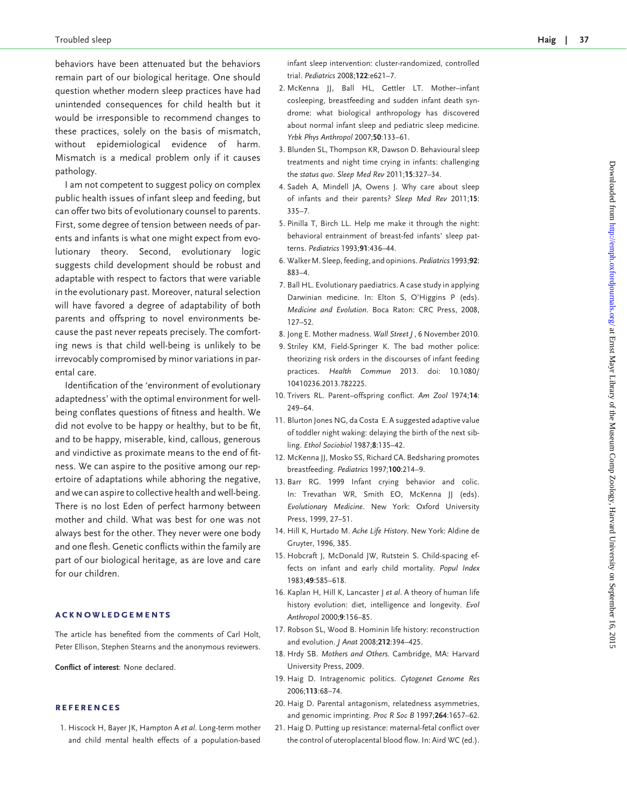<span id="page-5-0"></span>behaviors have been attenuated but the behaviors remain part of our biological heritage. One should question whether modern sleep practices have had unintended consequences for child health but it would be irresponsible to recommend changes to these practices, solely on the basis of mismatch, without epidemiological evidence of harm. Mismatch is a medical problem only if it causes pathology.

I am not competent to suggest policy on complex public health issues of infant sleep and feeding, but can offer two bits of evolutionary counsel to parents. First, some degree of tension between needs of parents and infants is what one might expect from evolutionary theory. Second, evolutionary logic suggests child development should be robust and adaptable with respect to factors that were variable in the evolutionary past. Moreover, natural selection will have favored a degree of adaptability of both parents and offspring to novel environments because the past never repeats precisely. The comforting news is that child well-being is unlikely to be irrevocably compromised by minor variations in parental care.

Identification of the 'environment of evolutionary adaptedness' with the optimal environment for wellbeing conflates questions of fitness and health. We did not evolve to be happy or healthy, but to be fit, and to be happy, miserable, kind, callous, generous and vindictive as proximate means to the end of fitness. We can aspire to the positive among our repertoire of adaptations while abhoring the negative, and we can aspire to collective health and well-being. There is no lost Eden of perfect harmony between mother and child. What was best for one was not always best for the other. They never were one body and one flesh. Genetic conflicts within the family are part of our biological heritage, as are love and care for our children.

#### acknowledgements

The article has benefited from the comments of Carl Holt, Peter Ellison, Stephen Stearns and the anonymous reviewers.

Conflict of interest: None declared.

#### **REFERENCES**

1. Hiscock H, Bayer JK, Hampton A et al. Long-term mother and child mental health effects of a population-based infant sleep intervention: cluster-randomized, controlled trial. Pediatrics 2008;122:e621–7.

- 2. McKenna JJ, Ball HL, Gettler LT. Mother–infant cosleeping, breastfeeding and sudden infant death syndrome: what biological anthropology has discovered about normal infant sleep and pediatric sleep medicine. Yrbk Phys Anthropol 2007;50:133–61.
- 3. Blunden SL, Thompson KR, Dawson D. Behavioural sleep treatments and night time crying in infants: challenging the status quo. Sleep Med Rev 2011;15:327–34.
- 4. Sadeh A, Mindell JA, Owens J. Why care about sleep of infants and their parents? Sleep Med Rev 2011;15: 335–7.
- 5. Pinilla T, Birch LL. Help me make it through the night: behavioral entrainment of breast-fed infants' sleep patterns. Pediatrics 1993;91:436–44.
- 6. Walker M. Sleep, feeding, and opinions. Pediatrics 1993;92: 883–4.
- 7. Ball HL. Evolutionary paediatrics. A case study in applying Darwinian medicine. In: Elton S, O'Higgins P (eds). Medicine and Evolution. Boca Raton: CRC Press, 2008, 127–52.
- 8. Jong E. Mother madness. Wall Street J , 6 November 2010.
- 9. Striley KM, Field-Springer K. The bad mother police: theorizing risk orders in the discourses of infant feeding practices. Health Commun 2013. doi: 10.1080/ 10410236.2013.782225.
- 10. Trivers RL. Parent–offspring conflict. Am Zool 1974;14: 249–64.
- 11. Blurton Jones NG, da Costa E. A suggested adaptive value of toddler night waking: delaying the birth of the next sibling. Ethol Sociobiol 1987;8:135–42.
- 12. McKenna JJ, Mosko SS, Richard CA. Bedsharing promotes breastfeeding. Pediatrics 1997;100:214–9.
- 13. Barr RG. 1999 Infant crying behavior and colic. In: Trevathan WR, Smith EO, McKenna JJ (eds). Evolutionary Medicine. New York: Oxford University Press, 1999, 27–51.
- 14. Hill K, Hurtado M. Ache Life History. New York: Aldine de Gruyter, 1996, 385.
- 15. Hobcraft J, McDonald JW, Rutstein S. Child-spacing effects on infant and early child mortality. Popul Index 1983;49:585–618.
- 16. Kaplan H, Hill K, Lancaster J et al. A theory of human life history evolution: diet, intelligence and longevity. Evol Anthropol 2000;9:156–85.
- 17. Robson SL, Wood B. Hominin life history: reconstruction and evolution. J Anat 2008;212:394–425.
- 18. Hrdy SB. Mothers and Others. Cambridge, MA: Harvard University Press, 2009.
- 19. Haig D. Intragenomic politics. Cytogenet Genome Res 2006;113:68–74.
- 20. Haig D. Parental antagonism, relatedness asymmetries, and genomic imprinting. Proc R Soc B 1997;264:1657–62.
- 21. Haig D. Putting up resistance: maternal-fetal conflict over the control of uteroplacental blood flow. In: Aird WC (ed.).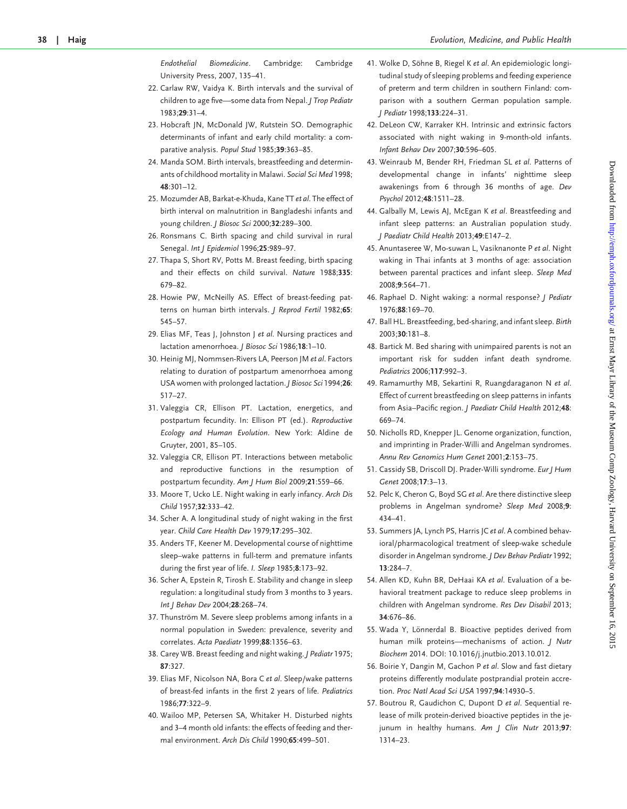<span id="page-6-0"></span>Endothelial Biomedicine. Cambridge: Cambridge University Press, 2007, 135–41.

- 22. Carlaw RW, Vaidya K. Birth intervals and the survival of children to age five—some data from Nepal. J Trop Pediatr 1983;29:31–4.
- 23. Hobcraft JN, McDonald JW, Rutstein SO. Demographic determinants of infant and early child mortality: a comparative analysis. Popul Stud 1985;39:363-85.
- 24. Manda SOM. Birth intervals, breastfeeding and determinants of childhood mortality in Malawi. Social Sci Med 1998; 48:301–12.
- 25. Mozumder AB, Barkat-e-Khuda, Kane TT et al. The effect of birth interval on malnutrition in Bangladeshi infants and young children. J Biosoc Sci 2000;32:289–300.
- 26. Ronsmans C. Birth spacing and child survival in rural Senegal. Int | Epidemiol 1996;25:989-97.
- 27. Thapa S, Short RV, Potts M. Breast feeding, birth spacing and their effects on child survival. Nature 1988;335: 679–82.
- 28. Howie PW, McNeilly AS. Effect of breast-feeding patterns on human birth intervals. J Reprod Fertil 1982;65: 545–57.
- 29. Elias MF, Teas J, Johnston J et al. Nursing practices and lactation amenorrhoea. J Biosoc Sci 1986;18:1-10.
- 30. Heinig MJ, Nommsen-Rivers LA, Peerson JM et al. Factors relating to duration of postpartum amenorrhoea among USA women with prolonged lactation. J Biosoc Sci 1994;26: 517–27.
- 31. Valeggia CR, Ellison PT. Lactation, energetics, and postpartum fecundity. In: Ellison PT (ed.). Reproductive Ecology and Human Evolution. New York: Aldine de Gruyter, 2001, 85–105.
- 32. Valeggia CR, Ellison PT. Interactions between metabolic and reproductive functions in the resumption of postpartum fecundity. Am J Hum Biol 2009;21:559–66.
- 33. Moore T, Ucko LE. Night waking in early infancy. Arch Dis Child 1957;32:333–42.
- 34. Scher A. A longitudinal study of night waking in the first year. Child Care Health Dev 1979;17:295–302.
- 35. Anders TF, Keener M. Developmental course of nighttime sleep–wake patterns in full-term and premature infants during the first year of life. I. Sleep 1985;8:173-92.
- 36. Scher A, Epstein R, Tirosh E. Stability and change in sleep regulation: a longitudinal study from 3 months to 3 years. Int J Behav Dev 2004;28:268–74.
- 37. Thunström M. Severe sleep problems among infants in a normal population in Sweden: prevalence, severity and correlates. Acta Paediatr 1999;88:1356-63.
- 38. Carey WB. Breast feeding and night waking. J Pediatr 1975; 87:327.
- 39. Elias MF, Nicolson NA, Bora C et al. Sleep/wake patterns of breast-fed infants in the first 2 years of life. Pediatrics 1986;77:322–9.
- 40. Wailoo MP, Petersen SA, Whitaker H. Disturbed nights and 3–4 month old infants: the effects of feeding and thermal environment. Arch Dis Child 1990;65:499–501.
- 41. Wolke D, Söhne B, Riegel K et al. An epidemiologic longitudinal study of sleeping problems and feeding experience of preterm and term children in southern Finland: comparison with a southern German population sample. J Pediatr 1998;133:224–31.
- 42. DeLeon CW, Karraker KH. Intrinsic and extrinsic factors associated with night waking in 9-month-old infants. Infant Behav Dev 2007;30:596–605.
- 43. Weinraub M, Bender RH, Friedman SL et al. Patterns of developmental change in infants' nighttime sleep awakenings from 6 through 36 months of age. Dev Psychol 2012;48:1511–28.
- 44. Galbally M, Lewis AJ, McEgan K et al. Breastfeeding and infant sleep patterns: an Australian population study. J Paediatr Child Health 2013;49:E147–2.
- 45. Anuntaseree W, Mo-suwan L, Vasiknanonte P et al. Night waking in Thai infants at 3 months of age: association between parental practices and infant sleep. Sleep Med 2008;9:564–71.
- 46. Raphael D. Night waking: a normal response? J Pediatr 1976;88:169–70.
- 47. Ball HL. Breastfeeding, bed-sharing, and infant sleep. Birth 2003;30:181–8.
- 48. Bartick M. Bed sharing with unimpaired parents is not an important risk for sudden infant death syndrome. Pediatrics 2006;117:992–3.
- 49. Ramamurthy MB, Sekartini R, Ruangdaraganon N et al. Effect of current breastfeeding on sleep patterns in infants from Asia-Pacific region. J Paediatr Child Health 2012;48: 669–74.
- 50. Nicholls RD, Knepper JL. Genome organization, function, and imprinting in Prader-Willi and Angelman syndromes. Annu Rev Genomics Hum Genet 2001;2:153–75.
- 51. Cassidy SB, Driscoll DJ. Prader-Willi syndrome. Eur J Hum Genet 2008;17:3–13.
- 52. Pelc K, Cheron G, Boyd SG et al. Are there distinctive sleep problems in Angelman syndrome? Sleep Med 2008;9: 434–41.
- 53. Summers JA, Lynch PS, Harris JC et al. A combined behavioral/pharmacological treatment of sleep-wake schedule disorder in Angelman syndrome. J Dev Behav Pediatr 1992; 13:284–7.
- 54. Allen KD, Kuhn BR, DeHaai KA et al. Evaluation of a behavioral treatment package to reduce sleep problems in children with Angelman syndrome. Res Dev Disabil 2013; 34:676–86.
- 55. Wada Y, Lönnerdal B. Bioactive peptides derived from human milk proteins—mechanisms of action. J Nutr Biochem 2014. DOI: 10.1016/j.jnutbio.2013.10.012.
- 56. Boirie Y, Dangin M, Gachon P et al. Slow and fast dietary proteins differently modulate postprandial protein accretion. Proc Natl Acad Sci USA 1997;94:14930–5.
- 57. Boutrou R, Gaudichon C, Dupont D et al. Sequential release of milk protein-derived bioactive peptides in the jejunum in healthy humans. Am J Clin Nutr 2013;97: 1314–23.